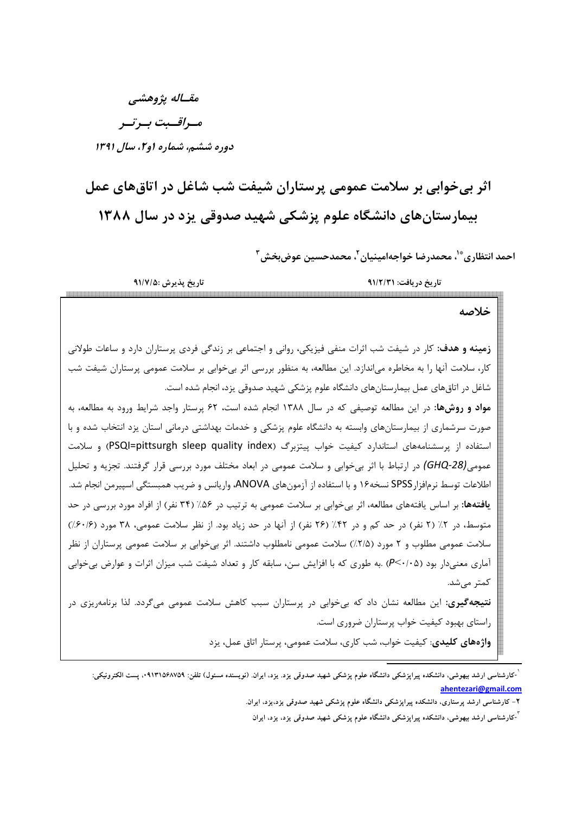مقـاله پژوهشي مسراقسبت بسرتسر دوره ششم، شماره او ۲، سال ۱۳۹۱

اثر بیخوابی بر سلامت عمومی پرستاران شیفت شب شاغل در اتاقهای عمل بیمارستانهای دانشگاه علوم پزشکی شهید صدوقی یزد در سال ۱۳۸۸

احمد انتظاري \*`، محمدرضا خواجهامينيان `، محمدحسين عوضبخش ``

| تاريخ پذيرش :۹۱/۷/۵                                                                                                    | تاريخ دريافت: ٩١/٢/٣١                                                              |  |  |
|------------------------------------------------------------------------------------------------------------------------|------------------------------------------------------------------------------------|--|--|
|                                                                                                                        | خلاصه                                                                              |  |  |
| <b>زمینه و هدف</b> : کار در شیفت شب اثرات منفی فیزیکی، روانی و اجتماعی بر زندگی فردی پرستاران دارد و ساعات طولانی      |                                                                                    |  |  |
| کار، سلامت آنها را به مخاطره میاندازد. این مطالعه، به منظور بررسی اثر بیخوابی بر سلامت عمومی پرستاران شیفت شب          |                                                                                    |  |  |
|                                                                                                                        | شاغل در اتاقهای عمل بیمارستانهای دانشگاه علوم پزشکی شهید صدوقی یزد، انجام شده است. |  |  |
| <b>مواد و روشها:</b> در این مطالعه توصیفی که در سال ۱۳۸۸ انجام شده است، ۶۲ پرستار واجد شرایط ورود به مطالعه، به        |                                                                                    |  |  |
| صورت سرشماری از بیمارستانهای وابسته به دانشگاه علوم پزشکی و خدمات بهداشتی درمانی استان یزد انتخاب شده و با             |                                                                                    |  |  |
| استفاده از پرسشنامههای استاندارد کیفیت خواب پیتزبرگ (PSQI=pittsurgh sleep quality index) و سلامت                       |                                                                                    |  |  |
| عمومی(GHQ-28) در ارتباط با اثر بیخوابی و سلامت عمومی در ابعاد مختلف مورد بررسی قرار گرفتند. تجزیه و تحلیل              |                                                                                    |  |  |
| اطلاعات توسط نرمافزارSPSS نسخه۱۶ و با استفاده از آزمونهای ANOVA، واریانس و ضریب همبستگی اسپیرمن انجام شد.              |                                                                                    |  |  |
| <b>یافتهها:</b> بر اساس یافتههای مطالعه، اثر بیخوابی بر سلامت عمومی به ترتیب در ۵۶٪ (۳۴ نفر) از افراد مورد بررسی در حد |                                                                                    |  |  |
| متوسط، در ۲٪ (۲ نفر) در حد کم و در ۴۲٪ (۲۶ نفر) از آنها در حد زیاد بود. از نظر سلامت عمومی، ۳۸ مورد (۶۰/۶٪)            |                                                                                    |  |  |
| سلامت عمومی مطلوب و ۲ مورد (۲/۵٪) سلامت عمومی نامطلوب داشتند. اثر بیخوابی بر سلامت عمومی پرستاران از نظر               |                                                                                    |  |  |
| آماری معنیدار بود (۶٬۰/۰۵) .به طوری که با افزایش سن، سابقه کار و تعداد شیفت شب میزان اثرات و عوارض بیخوابی             |                                                                                    |  |  |
|                                                                                                                        | كمتر مىشد.                                                                         |  |  |
| <b>نتیجهگیری:</b> این مطالعه نشان داد که بیخوابی در پرستاران سبب کاهش سلامت عمومی میگردد. لذا برنامهریزی در            |                                                                                    |  |  |
|                                                                                                                        | راستای بهبود کیفیت خواب پرستاران ضروری است.                                        |  |  |
|                                                                                                                        | واژههای کلیدی: کیفیت خواب، شب کاری، سلامت عمومی، پرستار اتاق عمل، یزد              |  |  |

<sup>&</sup>lt;sup>'</sup>-کارشناسی ارشد بیهوشی، دانشکده پیراپزشکی دانشگاه علوم پزشکی شهید صدوقی یزد. یزد، ایران. (نویسنده مسئول) تلفن: ۰۹۱۳۱۵۶۸۷۵۹، پست الکترونیکی: ahentezari@gmail.com

۲– کارشناسی ارشد پرستاری، دانشکده پیراپزشکی دانشگاه علوم پزشکی شهید صدوقی یزد،یزد، ایران.

<sup>&</sup>lt;sup>"</sup>-کارشناسی ارشد بیهوشی، دانشکده پیراپزشکی دانشگاه علوم پزشکی شهید صدوقی یزد، یزد، ایران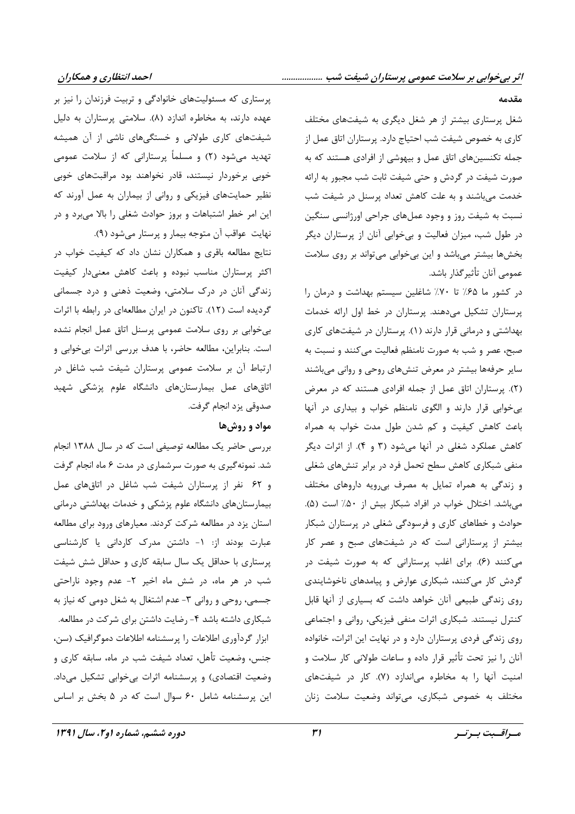پرستاری که مسئولیتهای خانوادگی و تربیت فرزندان را نیز بر عهده دارند، به مخاطره اندازد (۸). سلامتی پرستاران به دلیل شیفتهای کاری طولانی و خستگیهای ناشی از آن همیشه تهدید میشود (۲) و مسلماً پرستارانی که از سلامت عمومی خوبی برخوردار نیستند، قادر نخواهند بود مراقبتهای خوبی نظیر حمایتهای فیزیکی و روانی از بیماران به عمل آورند که این امر خطر اشتباهات و بروز حوادث شغلی را بالا میبرد و در نهایت عواقب آن متوجه بیمار و پرستار میشود (۹).

نتایج مطالعه باقری و همکاران نشان داد که کیفیت خواب در اکثر پرستاران مناسب نبوده و باعث کاهش معنیدار کیفیت زندگی آنان در درک سلامتی، وضعیت ذهنی و درد جسمانی گردیده است (۱۲). تاکنون در ایران مطالعهای در رابطه با اثرات بی خوابی بر روی سلامت عمومی پرسنل اتاق عمل انجام نشده است. بنابراین، مطالعه حاضر، با هدف بررسی اثرات بی خوابی و ارتباط آن بر سلامت عمومی پرستاران شیفت شب شاغل در اتاقهای عمل بیمارستانهای دانشگاه علوم پزشکی شهید صدوقي يزد انجام گرفت.

## مواد و روشها

بررسی حاضر یک مطالعه توصیفی است که در سال ۱۳۸۸ انجام شد. نمونهگیری به صورت سرشماری در مدت ۶ ماه انجام گرفت و ۶۲ نفر از پرستاران شیفت شب شاغل در اتاق های عمل بیمارستانهای دانشگاه علوم پزشکی و خدمات بهداشتی درمانی استان یزد در مطالعه شرکت کردند. معیارهای ورود برای مطالعه عبارت بودند از: ١- داشتن مدرک کاردانی یا کارشناسی پرستاری با حداقل یک سال سابقه کاری و حداقل شش شیفت شب در هر ماه، در شش ماه اخیر ۲- عدم وجود ناراحتی جسمی، روحی و روانی ۳- عدم اشتغال به شغل دومی که نیاز به شبکاری داشته باشد ۴- رضایت داشتن برای شرکت در مطالعه. ابزار گردآوری اطلاعات را پرسشنامه اطلاعات دموگرافیک (سن، جنس، وضعیت تأهل، تعداد شیفت شب در ماه، سابقه کاری و وضعیت اقتصادی) و پرسشنامه اثرات بی خوابی تشکیل میداد. این پرسشنامه شامل ۶۰ سوال است که در ۵ بخش بر اساس

دوره ششم، شماره او ۲، سال ۱۳۹۱

مقدمه

شغل پرستاری بیشتر از هر شغل دیگری به شیفتهای مختلف كاري به خصوص شيفت شب احتياج دارد. پرستاران اتاق عمل از جمله تکنسینهای اتاق عمل و بیهوشی از افرادی هستند که به صورت شیفت در گردش و حتی شیفت ثابت شب مجبور به ارائه خدمت می باشند و به علت کاهش تعداد پرسنل در شیفت شب نسبت به شیفت روز و وجود عملهای جراحی اورژانسی سنگین در طول شب، میزان فعالیت و بی خوابی آنان از پرستاران دیگر بخشها بیشتر میباشد و این بیخوابی میتواند بر روی سلامت عمومی آنان تأثیر گذار باشد.

در کشور ما ۶۵٪ تا ۷۰٪ شاغلین سیستم بهداشت و درمان را پرستاران تشکیل می دهند. پرستاران در خط اول ارائه خدمات بهداشتی و درمانی قرار دارند (۱). پرستاران در شیفتهای کاری صبح، عصر و شب به صورت نامنظم فعالیت میکنند و نسبت به سایر حرفهها بیشتر در معرض تنشهای روحی و روانی می باشند (٢). پرستاران اتاق عمل از جمله افرادی هستند که در معرض بی خوابی قرار دارند و الگوی نامنظم خواب و بیداری در آنها باعث كاهش كيفيت وكم شدن طول مدت خواب به همراه کاهش عملکرد شغلی در آنها می شود (۳ و ۴). از اثرات دیگر منفی شبکاری کاهش سطح تحمل فرد در برابر تنشهای شغلی و زندگی به همراه تمایل به مصرف بی رویه داروهای مختلف میباشد. اختلال خواب در افراد شبکار بیش از ۵۰٪ است (۵). حوادث و خطاهای کاری و فرسودگی شغلی در پرستاران شبکار بیشتر از پرستارانی است که در شیفتهای صبح و عصر کار می کنند (۶). برای اغلب پرستارانی که به صورت شیفت در گردش کار میکنند، شبکاری عوارض و پیامدهای ناخوشایندی روی زندگی طبیعی آنان خواهد داشت که بسیاری از آنها قابل کنترل نیستند. شبکاری اثرات منفی فیزیکی، روانی و اجتماعی روی زندگی فردی پرستاران دارد و در نهایت این اثرات، خانواده آنان را نیز تحت تأثیر قرار داده و ساعات طولانی کار سلامت و امنیت آنها را به مخاطره می اندازد (۷). کار در شیفتهای مختلف به خصوص شبکاری، می تواند وضعیت سلامت زنان

مسراقسبت بسرتسر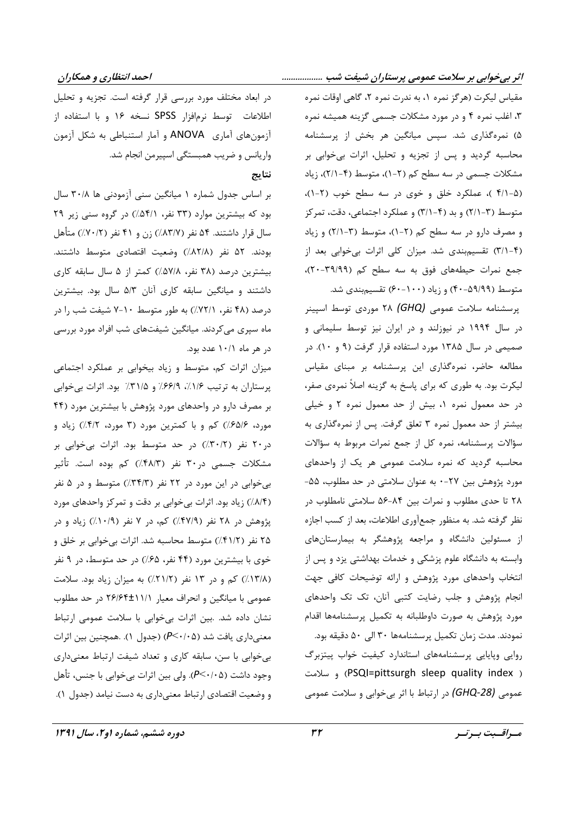احمد انتظاری و همکاران

مقیاس لیکرت (هرگز نمره ۱، به ندرت نمره ۲، گاهی اوقات نمره ۳، اغلب نمره ۴ و در مورد مشکلات جسمی گزینه همیشه نمره ۵) نمرهگذاری شد. سپس میانگین هر بخش از پرسشنامه محاسبه گردید و پس از تجزیه و تحلیل، اثرات بی خوابی بر مشکلات جسمی در سه سطح کم (۲-۱)، متوسط (۴-۲/۱)، زیاد (۴/۱-۵ )، عملکرد خلق و خوی در سه سطح خوب (۲-۱)، متوسط (٣-٢/١) و بد (۴-٣/١) و عملكرد اجتماعي، دقت، تمركز و مصرف دارو در سه سطح کم (۲-۱)، متوسط (۳-۲/۱) و زیاد (۳/۱-۴) تقسیمبندی شد. میزان کلی اثرات بیخوابی بعد از جمع نمرات حیطههای فوق به سه سطح کم (٣٩/٩٩). متوسط (۵۹/۹۹-۴۰) و زیاد (۱۰۰-۶۰) تقسیم بندی شد.

پرسشنامه سلامت عمومی (GHQ) ۲۸ موردی توسط اسپینر در سال ۱۹۹۴ در نیوزلند و در ایران نیز توسط سلیمانی و صمیمی در سال ۱۳۸۵ مورد استفاده قرار گرفت (۹ و ۱۰). در مطالعه حاضر، نمرهگذاری این پرسشنامه بر مبنای مقیاس لیکرت بود. به طوری که برای پاسخ به گزینه اصلاً نمرهی صفر، در حد معمول نمره ١، بيش از حد معمول نمره ٢ و خيلي بیشتر از حد معمول نمره ۳ تعلق گرفت. پس از نمرهگذاری به سؤالات پرسشنامه، نمره کل از جمع نمرات مربوط به سؤالات محاسبه گردید که نمره سلامت عمومی هر یک از واحدهای مورد پژوهش بین ۲۷-۰ به عنوان سلامتی در حد مطلوب، ۵۵-۲۸ تا حدی مطلوب و نمرات بین ۸۴-۵۶ سلامتی نامطلوب در نظر گرفته شد. به منظور جمع آوري اطلاعات، بعد از كسب اجازه از مسئولین دانشگاه و مراجعه پژوهشگر به بیمارستانهای وابسته به دانشگاه علوم پزشکی و خدمات بهداشتی یزد و پس از انتخاب واحدهای مورد پژوهش و ارائه توضیحات کافی جهت انجام پژوهش و جلب رضایت کتبی آنان، تک تک واحدهای مورد پژوهش به صورت داوطلبانه به تکمیل پرسشنامهها اقدام نمودند. مدت زمان تكميل پرسشنامهها ٣٠ الى ٥٠ دقيقه بود. روایی وپایایی پرسشنامههای استاندارد کیفیت خواب پیتزبرگ ( PSQI=pittsurgh sleep quality index) و سلامت عمومي (GHQ-28) در ارتباط با اثر بي خوابي و سلامت عمومي

در ابعاد مختلف مورد بررسی قرار گرفته است. تجزیه و تحلیل اطلاعات توسط نرمافزار SPSS نسخه ۱۶ و با استفاده از آزمونهای آماری ANOVA و آمار استنباطی به شکل آزمون واریانس و ضریب همبستگی اسپیرمن انجام شد.

## نتاىج

بر اساس جدول شماره ۱ میانگین سنی آزمودنی ها ۳۰/۸ سال بود که بیشترین موارد (۳۳ نفر، ۵۴/۱٪) در گروه سنی زیر ۲۹ سال قرار داشتند. ۵۴ نفر (۸۳/۷٪) زن و ۴۱ نفر (۷۰/۲٪) متأهل بودند. ۵۲ نفر (۸۲/۸٪) وضعیت اقتصادی متوسط داشتند. بیشترین درصد (۳۸ نفر، ۵۷/۸٪) کمتر از ۵ سال سابقه کاری داشتند و میانگین سابقه کاری آنان ۵/۳ سال بود. بیشترین درصد (۴۸ نفر، ۷۲/۱٪) به طور متوسط ۱۰-۷ شیفت شب را در ماه سپری میکردند. میانگین شیفتهای شب افراد مورد بررسی در هر ماه ۱۰/۱ عدد بود.

میزان اثرات کم، متوسط و زیاد بیخوابی بر عملکرد اجتماعی پرستاران به ترتیب ۱/۶/، ۶۶/۹٪ و ۳۱/۵٪ بود. اثرات بی خوابی بر مصرف دارو در واحدهای مورد پژوهش با بیشترین مورد (۴۴ مورد، ۶۵/۶/٪) کم و با کمترین مورد (۳ مورد، ۴/۲٪) زیاد و در ۲۰ نفر (۳۰/۲٪) در حد متوسط بود. اثرات بی خوابی بر مشکلات جسمی در۳۰ نفر (۴۸/۳٪) کم بوده است. تأثیر بی خوابی در این مورد در ۲۲ نفر (۳۴/۳٪) متوسط و در ۵ نفر (٨/٤/٢) زياد بود. اثرات بي خوابي بر دقت و تمركز واحدهاى مورد پژوهش در ۲۸ نفر (۴۷/۹٪) کم، در ۷ نفر (۱۰/۹٪) زیاد و در ۲۵ نفر (۴۱/۲٪) متوسط محاسبه شد. اثرات بیخوابی بر خلق و خوی با بیشترین مورد (۴۴ نفر، ۶۵٪) در حد متوسط، در ۹ نفر (١٣/٨٪) کم و در ١٣ نفر (٢١/٢٪) به ميزان زياد بود. سلامت عمومی با میانگین و انحراف معیار ۲۶/۶۴±۱۱/۱ در حد مطلوب نشان داده شد. .بین اثرات بیخوابی با سلامت عمومی ارتباط معنیداری یافت شد (۶٬۰/۰۵) (جدول ۱). .همچنین بین اثرات بی خوابی با سن، سابقه کاری و تعداد شیفت ارتباط معنیداری وجود داشت (۶٬۰٬۰۵). ولي بين اثرات بي خوابي با جنس، تأهل و وضعيت اقتصادي ارتباط معنىداري به دست نيامد (جدول ١).

مسراقسيت بسرتسر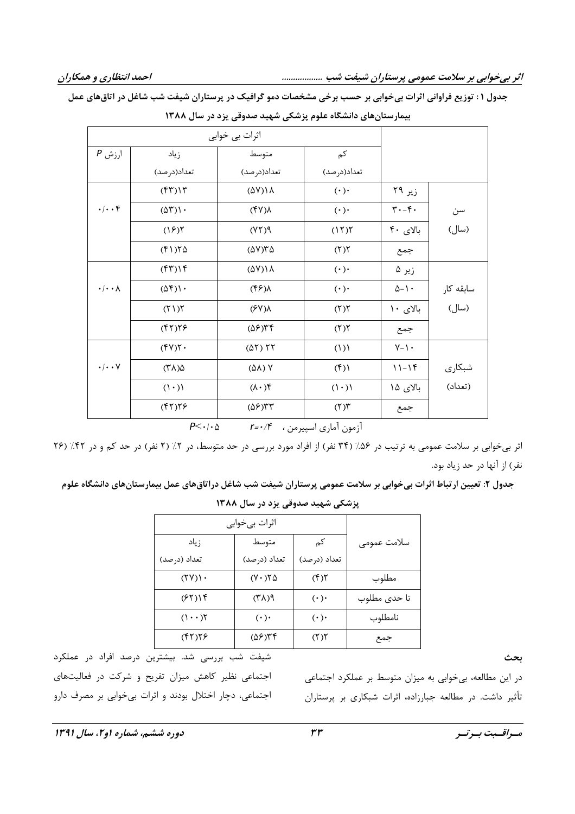| اثرات بي خوابي           |                                  |                              |                          |                                  |           |
|--------------------------|----------------------------------|------------------------------|--------------------------|----------------------------------|-----------|
|                          |                                  |                              |                          |                                  |           |
| $P$ ارزش                 | زياد                             | متوسط                        | کم                       |                                  |           |
|                          | تعداد(درصد)                      | تعداد(درصد)                  | تعداد(درصد)              |                                  |           |
|                          | (57)                             | $(\Delta Y)$ \ \ \ \         | $(\cdot)$ .              | زیر ۲۹                           |           |
| $\cdot/\cdot\cdot$ ۴     | $(\Delta \Upsilon)$ .            | $(\uparrow \vee) \wedge$     | $(\cdot)$                | $\mathbf{r} \cdot -\mathbf{r}$ . | سن        |
|                          | (15)                             | P(YY)                        | (17)                     | بالای ۴۰                         | (سال)     |
|                          | $(f \setminus) \uparrow \Delta$  | $(\Delta V)Y\Delta$          | (7)                      | جمع                              |           |
|                          | (57)                             | $(\Delta Y)$ \ \ \           | $(\cdot) \cdot$          | زیر ۵                            |           |
| $\cdot/\cdot\cdot\wedge$ | $(\Delta f)$ .                   | $(\xi)$                      | $(\cdot\,)\cdot$         | $\Delta - 1$ -                   | سابقه کار |
|                          | (51)                             | $(\xi Y)$                    | (7)                      | بالای ۱۰                         | (سال)     |
|                          | (57)59                           | $(\Delta \mathcal{F})^{\mu}$ | (7)                      | جمع                              |           |
|                          | $(\uparrow \vee) \uparrow \cdot$ | (01) 11                      | (1)                      | $Y - Y$                          |           |
| $\cdot/\cdot\cdot\vee$   | $(\uparrow \wedge) \uparrow$     | (AA) Y                       | $(\mathfrak{f})$         | $11-19$                          | شبكارى    |
|                          | $((\cdot)$                       | $\mathcal{H}(\cdot \Lambda)$ | $(1 \cdot)$              | بالای ۱۵                         | (تعداد)   |
|                          | (57)59                           | $(\Delta \mathcal{F})$ ۳۳    | $(\mathbf{r})\mathbf{r}$ | جمع                              |           |

بیمارستان های دانشگاه علوم بزشکے شهید صدوقی بزد در سال ۱۳۸۸

جدول ۱: توزیع فراوانی اثرات بیخوابی بر حسب برخی مشخصات دمو گرافیک در پرستاران شیفت شب شاغل در اتاق های عمل

 $P<\cdot\cdot\cdot$ ازمون آماری اسپیرمن ،  $r=\cdot/F$ 

اثر بیخوابی بر سلامت عمومی به ترتیب در ۵۶٪ (۳۴ نفر) از افراد مورد بررسی در حد متوسط، در ۲٪ (۲ نفر) در حد کم و در ۲۲٪ (۲۶ نفر) از آنها در حد زیاد بود.

جدول ۲: تعیین ارتباط اثرات بی خوابی بر سلامت عمومی پرستاران شیفت شب شاغل دراتاق های عمل بیمارستان های دانشگاه علوم

| اثرات بيخوابي       |                     |              |              |
|---------------------|---------------------|--------------|--------------|
| زياد                | متوسط               | کم           | سلامت عمومى  |
| تعداد (درصد)        | تعداد (درصد)        | تعداد (درصد) |              |
| (YY)                | $(Y \cdot Y \Delta$ | (5)          | مطلوب        |
| (55)                | $f(\lambda \gamma)$ | $(\cdot)$    | تا حدى مطلوب |
| $(1 \cdot \cdot)$ ٢ | $(\cdot)$           | $(\cdot)$    | نامطلوب      |
| ۲۲۱۲۶)              | ۲۴(۵۶)              | (5)          | جمع          |

پزشکی شهید صدوقی یزد در سال ۱۳۸۸

بحث

شیفت شب بررسی شد. بیشترین درصد افراد در عملکرد اجتماعی نظیر کاهش میزان تفریح و شرکت در فعالیتهای اجتماعي، دچار اختلال بودند و اثرات بي خوابي بر مصرف دارو

در این مطالعه، بیخوابی به میزان متوسط بر عملکرد اجتماعی تأثیر داشت. در مطالعه جبارزاده، اثرات شبکاری بر پرستاران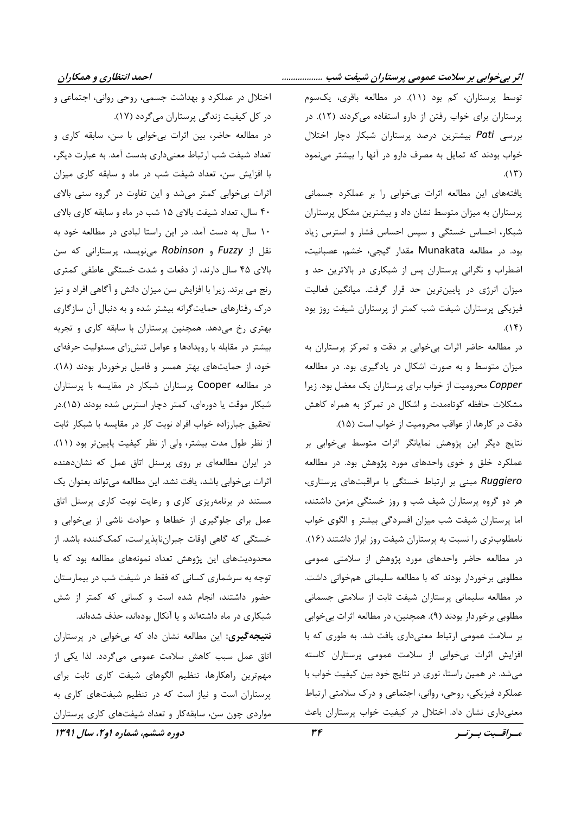توسط پرستاران، کم بود (١١). در مطالعه باقرى، يکسوم پرستاران برای خواب رفتن از دارو استفاده می کردند (١٢). در بررسی Pati بیشترین درصد پرستاران شبکار دچار اختلال خواب بودند که تمایل به مصرف دارو در آنها را بیشتر مینمود  $(15)$ 

یافتههای این مطالعه اثرات بی خوابی را بر عملکرد جسمانی پرستاران به میزان متوسط نشان داد و بیشترین مشکل پرستاران شبکار، احساس خستگی و سپس احساس فشار و استرس زیاد بود. در مطالعه Munakata مقدار گیجی، خشم، عصبانیت، اضطراب و نگرانی پرستاران پس از شبکاری در بالاترین حد و میزان انرژی در پایینترین حد قرار گرفت. میانگین فعالیت فیزیکی پرستاران شیفت شب کمتر از پرستاران شیفت روز بود  $(15)$ 

در مطالعه حاضر اثرات بی خوابی بر دقت و تمرکز پرستاران به میزان متوسط و به صورت اشکال در یادگیری بود. در مطالعه Copper محرومیت از خواب برای پرستاران یک معضل بود. زیرا مشکلات حافظه کوتاهمدت و اشکال در تمرکز به همراه کاهش دقت در كارها، از عواقب محروميت از خواب است (١۵).

نتايج ديگر اين پژوهش نمايانگر اثرات متوسط بي خوابي بر عملکرد خلق و خوی واحدهای مورد پژوهش بود. در مطالعه Ruggiero مبنی بر ارتباط خستگی با مراقبتهای پرستاری، هر دو گروه پرستاران شیف شب و روز خستگی مزمن داشتند، اما پرستاران شیفت شب میزان افسردگی بیشتر و الگوی خواب نامطلوبتری را نسبت به پرستاران شیفت روز ابراز داشتند (١۶). در مطالعه حاضر واحدهای مورد پژوهش از سلامتی عمومی مطلوبی برخوردار بودند که با مطالعه سلیمانی همخوانی داشت. در مطالعه سلیمانی پرستاران شیفت ثابت از سلامتی جسمانی مطلوبی برخوردار بودند (۹). همچنین، در مطالعه اثرات بیخوابی بر سلامت عمومی ارتباط معنیداری یافت شد. به طوری که با افزایش اثرات بی خوابی از سلامت عمومی پرستاران کاسته میشد. در همین راستا، نوری در نتایج خود بین کیفیت خواب با عملکرد فیزیکی، روحی، روانی، اجتماعی و درک سلامتی ارتباط معنیداری نشان داد. اختلال در کیفیت خواب پرستاران باعث

اختلال در عملکرد و بهداشت جسمی، روحی روانی، اجتماعی و در کل کیفیت زندگی پرستاران میگردد (۱۷). در مطالعه حاضر، بین اثرات بیخوابی با سن، سابقه کاری و تعداد شیفت شب ارتباط معنیداری بدست آمد. به عبارت دیگر، با افزایش سن، تعداد شیفت شب در ماه و سابقه کاری میزان اثرات بیخوابی کمتر میشد و این تفاوت در گروه سنی بالای ۴۰ سال، تعداد شیفت بالای ۱۵ شب در ماه و سابقه کاری بالای ١٠ سال به دست آمد. در اين راستا لبادي در مطالعه خود به نقل از Fuzzy و Robinson می;نویسد، پرستارانی که سن بالای ۴۵ سال دارند، از دفعات و شدت خستگی عاطفی کمتری رنج می برند. زیرا با افزایش سن میزان دانش و آگاهی افراد و نیز درک رفتارهای حمایتگرانه بیشتر شده و به دنبال آن سازگاری بهتری رخ میدهد. همچنین پرستاران با سابقه کاری و تجربه بیشتر در مقابله با رویدادها و عوامل تنش زای مسئولیت حرفهای خود، از حمایتهای بهتر همسر و فامیل برخوردار بودند (۱۸). در مطالعه Cooper پرستاران شبکار در مقایسه با پرستاران شبکار موقت یا دورهای، کمتر دچار استرس شده بودند (۱۵).در تحقیق جبارزاده خواب افراد نوبت کار در مقایسه با شبکار ثابت از نظر طول مدت بیشتر، ولی از نظر کیفیت پایینتر بود (١١). در ایران مطالعهای بر روی پرسنل اتاق عمل که نشاندهنده اثرات بیخوابی باشد، یافت نشد. این مطالعه میتواند بعنوان یک مستند در برنامهریزی کاری و رعایت نوبت کاری پرسنل اتاق عمل برای جلوگیری از خطاها و حوادث ناشی از بی خوابی و خستگی که گاهی اوقات جبرانناپذیراست، کمککننده باشد. از محدودیتهای این پژوهش تعداد نمونههای مطالعه بود که با توجه به سرشماری کسانی که فقط در شیفت شب در بیمارستان حضور داشتند، انجام شده است و کسانی که کمتر از شش شبکاری در ماه داشتهاند و یا آنکال بودهاند، حذف شدهاند.

**نتیجه گیری:** این مطالعه نشان داد که بی خوابی در پرستاران اتاق عمل سبب كاهش سلامت عمومى مى گردد. لذا يكى از مهمترین راهکارها، تنظیم الگوهای شیفت کاری ثابت برای پرستاران است و نیاز است که در تنظیم شیفتهای کاری به مواردی چون سن، سابقه کار و تعداد شیفتهای کاری پرستاران

دوره ششم، شماره او۲، سال ۱۳۹۱

مسراقسبت بسرتسر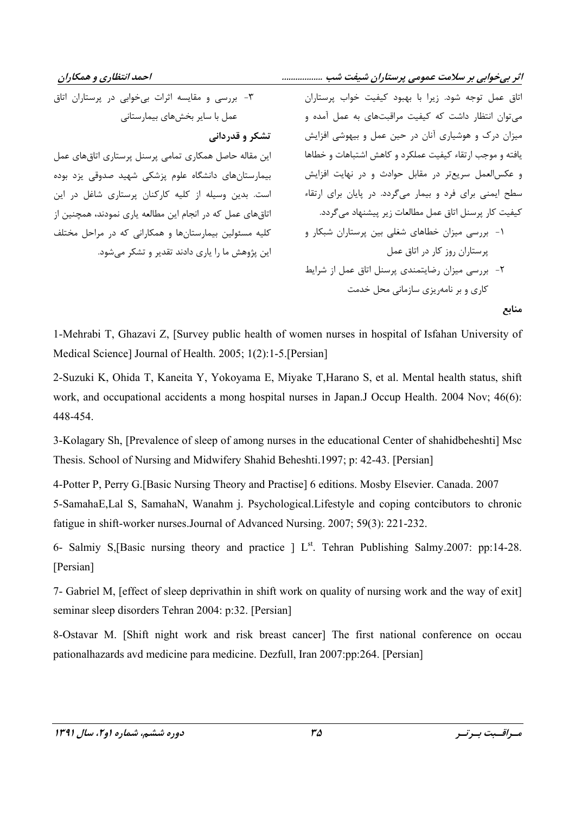احمد انتظاری و همکاران

اثر بیخوابی بر سلامت عمومی پرستاران شیفت شب ..................

۳- بررسی و مقایسه اثرات بیخوابی در پرستاران اتاق عمل با سایر بخشهای بیمارستانی تشكر و قدرداني این مقاله حاصل همکاری تمامی پرسنل پرستاری اتاق های عمل بیمارستانهای دانشگاه علوم پزشکی شهید صدوقی پزد بوده است. بدین وسیله از کلیه کارکنان پرستاری شاغل در این اتاق های عمل که در انجام این مطالعه پاری نمودند، همچنین از کلیه مسئولین بیمارستانها و همکارانی که در مراحل مختلف این پژوهش ما را پاری دادند تقدیر و تشکر می شود.

اتاق عمل توجه شود. زيرا با بهبود كيفيت خواب پرستاران می توان انتظار داشت که کیفیت مراقبتهای به عمل آمده و میزان درک و هوشیاری آنان در حین عمل و بیهوشی افزایش يافته و موجب ارتقاء كيفيت عملكرد و كاهش اشتباهات و خطاها و عکس|لعمل سریعتر در مقابل حوادث و در نهایت افزایش سطح ایمنی برای فرد و بیمار میگردد. در پایان برای ارتقاء كيفيت كار پرسنل اتاق عمل مطالعات زير پيشنهاد مي گردد. ۱- بررسی میزان خطاهای شغلی بین پرستاران شبکار و یرستاران روز کار در اتاق عمل ٢- بررسی میزان رضایتمندی پرسنل اتاق عمل از شرایط کاری و بر نامهریزی سازمانی محل خدمت منابع

1-Mehrabi T, Ghazavi Z, [Survey public health of women nurses in hospital of Isfahan University of Medical Science] Journal of Health. 2005; 1(2):1-5. [Persian]

2-Suzuki K, Ohida T, Kaneita Y, Yokovama E, Miyake T, Harano S, et al. Mental health status, shift work, and occupational accidents a mong hospital nurses in Japan.J Occup Health. 2004 Nov; 46(6): 448-454.

3-Kolagary Sh, [Prevalence of sleep of among nurses in the educational Center of shahidbeheshti] Msc Thesis. School of Nursing and Midwifery Shahid Beheshti. 1997; p: 42-43. [Persian]

4-Potter P, Perry G.[Basic Nursing Theory and Practise] 6 editions. Mosby Elsevier. Canada. 2007 5-SamahaE, Lal S, SamahaN, Wanahm *j.* Psychological. Lifestyle and coping contributors to chronic fatigue in shift-worker nurses. Journal of Advanced Nursing. 2007; 59(3): 221-232.

6- Salmiy S, Basic nursing theory and practice | L<sup>st</sup>. Tehran Publishing Salmy. 2007: pp:14-28. [Persian]

7- Gabriel M, [effect of sleep deprivathin in shift work on quality of nursing work and the way of exit] seminar sleep disorders Tehran 2004: p:32. [Persian]

8-Ostavar M. [Shift night work and risk breast cancer] The first national conference on occau pationalhazards avd medicine para medicine. Dezfull, Iran 2007:pp:264. [Persian]

مسراقسبت بسرتسر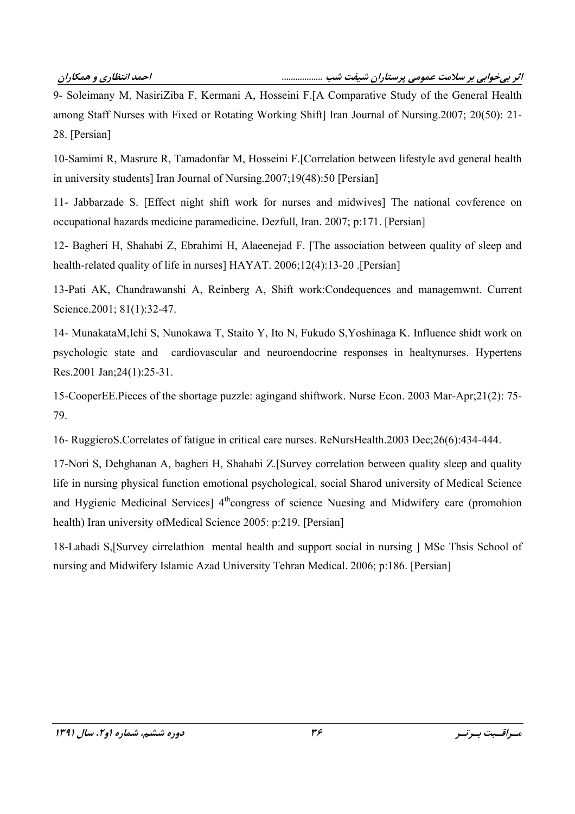"
1+\*
7#5.8RRRRRRRRRRRRRRRRRR !"
#\$-%&-'%(

9- Soleimany M, NasiriZiba F, Kermani A, Hosseini F.[A Comparative Study of the General Health among Staff Nurses with Fixed or Rotating Working Shift] Iran Journal of Nursing.2007; 20(50): 21-28. [Persian]

10-Samimi R, Masrure R, Tamadonfar M, Hosseini F. [Correlation between lifestyle avd general health in university students] Iran Journal of Nursing. $2007;19(48):50$  [Persian]

11- Jabbarzade S. [Effect night shift work for nurses and midwives] The national covference on occupational hazards medicine paramedicine. Dezfull, Iran. 2007; p:171. [Persian]

12- Bagheri H, Shahabi Z, Ebrahimi H, Alaeenejad F. [The association between quality of sleep and health-related quality of life in nurses] HAYAT. 2006;12(4):13-20 [Persian]

13-Pati AK, Chandrawanshi A, Reinberg A, Shift work:Condequences and managemwnt. Current Science.2001; 81(1):32-47.

14- MunakataM, Ichi S, Nunokawa T, Staito Y, Ito N, Fukudo S, Yoshinaga K. Influence shidt work on psychologic state and cardiovascular and neuroendocrine responses in healtynurses. Hypertens Res.2001 Jan;24(1):25-31.

15-CooperEE.Pieces of the shortage puzzle: agingand shiftwork. Nurse Econ. 2003 Mar-Apr;21(2): 75-79.

16- RuggieroS. Correlates of fatigue in critical care nurses. ReNursHealth. 2003 Dec; 26(6): 434-444.

17-Nori S, Dehghanan A, bagheri H, Shahabi Z.[Survey correlation between quality sleep and quality life in nursing physical function emotional psychological, social Sharod university of Medical Science and Hygienic Medicinal Services] 4<sup>th</sup>congress of science Nuesing and Midwifery care (promohion health) Iran university of Medical Science 2005: p:219. [Persian]

18-Labadi S, [Survey cirrelathion mental health and support social in nursing ] MSc Thsis School of nursing and Midwifery Islamic Azad University Tehran Medical. 2006; p:186. [Persian]

مــراقـــبت بــر